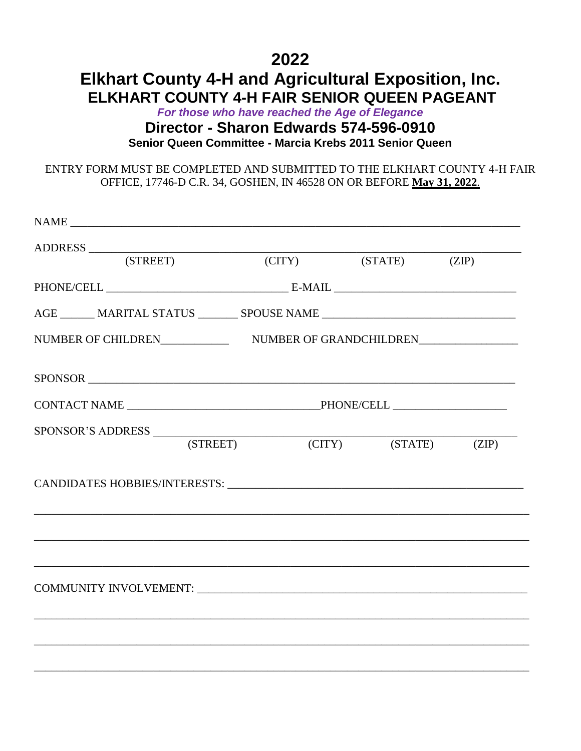### **2022 Elkhart County 4-H and Agricultural Exposition, Inc. ELKHART COUNTY 4-H FAIR SENIOR QUEEN PAGEANT**

*For those who have reached the Age of Elegance* **Director - Sharon Edwards 574-596-0910 Senior Queen Committee - Marcia Krebs 2011 Senior Queen**

ENTRY FORM MUST BE COMPLETED AND SUBMITTED TO THE ELKHART COUNTY 4-H FAIR OFFICE, 17746-D C.R. 34, GOSHEN, IN 46528 ON OR BEFORE **May 31, 2022**.

| ADDRESS (STREET)                                                                  |          |                            |  |
|-----------------------------------------------------------------------------------|----------|----------------------------|--|
|                                                                                   |          | (CITY) (STATE) (ZIP)       |  |
|                                                                                   |          |                            |  |
| AGE ________ MARITAL STATUS _________ SPOUSE NAME _______________________________ |          |                            |  |
|                                                                                   |          |                            |  |
|                                                                                   |          |                            |  |
|                                                                                   |          |                            |  |
| SPONSOR'S ADDRESS                                                                 |          |                            |  |
|                                                                                   | (STREET) | $(CITY)$ $(STATE)$ $(ZIP)$ |  |
|                                                                                   |          |                            |  |
|                                                                                   |          |                            |  |
|                                                                                   |          |                            |  |
|                                                                                   |          |                            |  |
|                                                                                   |          |                            |  |
|                                                                                   |          |                            |  |
|                                                                                   |          |                            |  |
|                                                                                   |          |                            |  |
|                                                                                   |          |                            |  |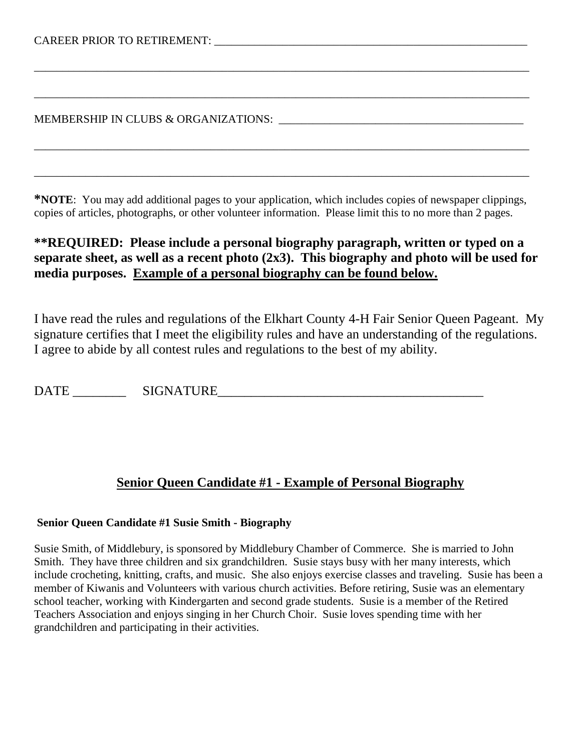MEMBERSHIP IN CLUBS & ORGANIZATIONS:

**\*NOTE**: You may add additional pages to your application, which includes copies of newspaper clippings, copies of articles, photographs, or other volunteer information. Please limit this to no more than 2 pages.

\_\_\_\_\_\_\_\_\_\_\_\_\_\_\_\_\_\_\_\_\_\_\_\_\_\_\_\_\_\_\_\_\_\_\_\_\_\_\_\_\_\_\_\_\_\_\_\_\_\_\_\_\_\_\_\_\_\_\_\_\_\_\_\_\_\_\_\_\_\_\_\_\_\_\_\_\_\_\_\_\_\_\_\_\_\_\_

\_\_\_\_\_\_\_\_\_\_\_\_\_\_\_\_\_\_\_\_\_\_\_\_\_\_\_\_\_\_\_\_\_\_\_\_\_\_\_\_\_\_\_\_\_\_\_\_\_\_\_\_\_\_\_\_\_\_\_\_\_\_\_\_\_\_\_\_\_\_\_\_\_\_\_\_\_\_\_\_\_\_\_\_\_\_\_

\_\_\_\_\_\_\_\_\_\_\_\_\_\_\_\_\_\_\_\_\_\_\_\_\_\_\_\_\_\_\_\_\_\_\_\_\_\_\_\_\_\_\_\_\_\_\_\_\_\_\_\_\_\_\_\_\_\_\_\_\_\_\_\_\_\_\_\_\_\_\_\_\_\_\_\_\_\_\_\_\_\_\_\_\_\_\_

\_\_\_\_\_\_\_\_\_\_\_\_\_\_\_\_\_\_\_\_\_\_\_\_\_\_\_\_\_\_\_\_\_\_\_\_\_\_\_\_\_\_\_\_\_\_\_\_\_\_\_\_\_\_\_\_\_\_\_\_\_\_\_\_\_\_\_\_\_\_\_\_\_\_\_\_\_\_\_\_\_\_\_\_\_\_\_

### **\*\*REQUIRED: Please include a personal biography paragraph, written or typed on a separate sheet, as well as a recent photo (2x3). This biography and photo will be used for media purposes. Example of a personal biography can be found below.**

I have read the rules and regulations of the Elkhart County 4-H Fair Senior Queen Pageant. My signature certifies that I meet the eligibility rules and have an understanding of the regulations. I agree to abide by all contest rules and regulations to the best of my ability.

DATE SIGNATURE

### **Senior Queen Candidate #1 - Example of Personal Biography**

### **Senior Queen Candidate #1 Susie Smith - Biography**

Susie Smith, of Middlebury, is sponsored by Middlebury Chamber of Commerce. She is married to John Smith. They have three children and six grandchildren. Susie stays busy with her many interests, which include crocheting, knitting, crafts, and music. She also enjoys exercise classes and traveling. Susie has been a member of Kiwanis and Volunteers with various church activities. Before retiring, Susie was an elementary school teacher, working with Kindergarten and second grade students. Susie is a member of the Retired Teachers Association and enjoys singing in her Church Choir. Susie loves spending time with her grandchildren and participating in their activities.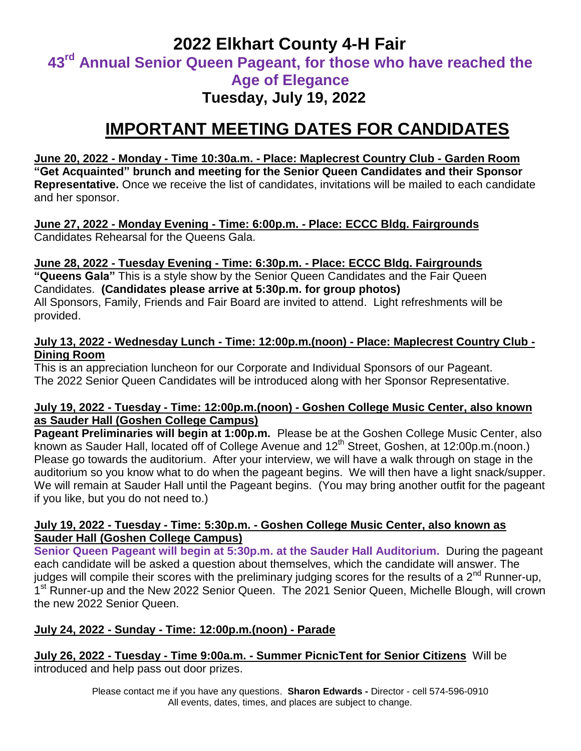### **2022 Elkhart County 4-H Fair 43 rd Annual Senior Queen Pageant, for those who have reached the Age of Elegance Tuesday, July 19, 2022**

## **IMPORTANT MEETING DATES FOR CANDIDATES**

### **June 20, 2022 - Monday - Time 10:30a.m. - Place: Maplecrest Country Club - Garden Room "Get Acquainted" brunch and meeting for the Senior Queen Candidates and their Sponsor Representative.** Once we receive the list of candidates, invitations will be mailed to each candidate and her sponsor.

**June 27, 2022 - Monday Evening - Time: 6:00p.m. - Place: ECCC Bldg. Fairgrounds** Candidates Rehearsal for the Queens Gala.

### **June 28, 2022 - Tuesday Evening - Time: 6:30p.m. - Place: ECCC Bldg. Fairgrounds "Queens Gala"** This is a style show by the Senior Queen Candidates and the Fair Queen Candidates. **(Candidates please arrive at 5:30p.m. for group photos)** All Sponsors, Family, Friends and Fair Board are invited to attend. Light refreshments will be provided.

### **July 13, 2022 - Wednesday Lunch - Time: 12:00p.m.(noon) - Place: Maplecrest Country Club - Dining Room**

This is an appreciation luncheon for our Corporate and Individual Sponsors of our Pageant. The 2022 Senior Queen Candidates will be introduced along with her Sponsor Representative.

### **July 19, 2022 - Tuesday - Time: 12:00p.m.(noon) - Goshen College Music Center, also known as Sauder Hall (Goshen College Campus)**

**Pageant Preliminaries will begin at 1:00p.m.** Please be at the Goshen College Music Center, also known as Sauder Hall, located off of College Avenue and 12<sup>th</sup> Street, Goshen, at 12:00p.m.(noon.) Please go towards the auditorium. After your interview, we will have a walk through on stage in the auditorium so you know what to do when the pageant begins. We will then have a light snack/supper. We will remain at Sauder Hall until the Pageant begins. (You may bring another outfit for the pageant if you like, but you do not need to.)

### **July 19, 2022 - Tuesday - Time: 5:30p.m. - Goshen College Music Center, also known as Sauder Hall (Goshen College Campus)**

**Senior Queen Pageant will begin at 5:30p.m. at the Sauder Hall Auditorium.** During the pageant each candidate will be asked a question about themselves, which the candidate will answer. The judges will compile their scores with the preliminary judging scores for the results of a  $2^{nd}$  Runner-up, 1<sup>st</sup> Runner-up and the New 2022 Senior Queen. The 2021 Senior Queen, Michelle Blough, will crown the new 2022 Senior Queen.

### **July 24, 2022 - Sunday - Time: 12:00p.m.(noon) - Parade**

**July 26, 2022 - Tuesday - Time 9:00a.m. - Summer PicnicTent for Senior Citizens** Will be introduced and help pass out door prizes.

> Please contact me if you have any questions. **Sharon Edwards -** Director - cell 574-596-0910 All events, dates, times, and places are subject to change.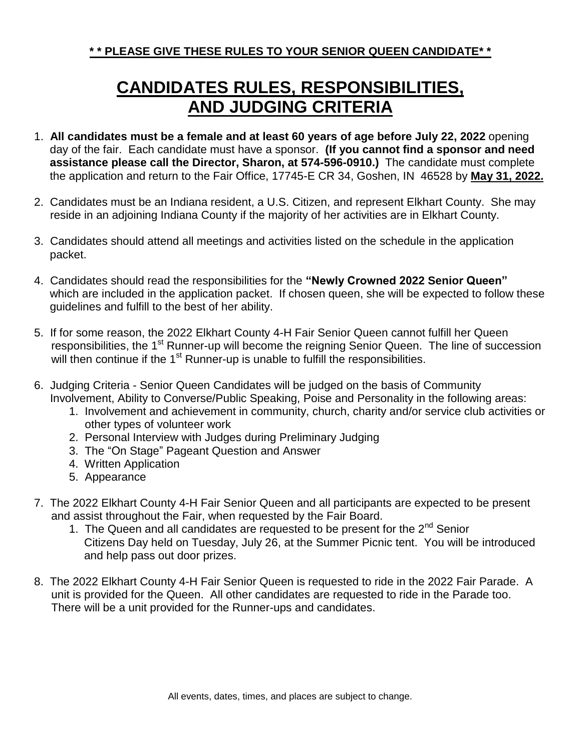# **CANDIDATES RULES, RESPONSIBILITIES, AND JUDGING CRITERIA**

- 1. **All candidates must be a female and at least 60 years of age before July 22, 2022** opening day of the fair. Each candidate must have a sponsor. **(If you cannot find a sponsor and need assistance please call the Director, Sharon, at 574-596-0910.)** The candidate must complete the application and return to the Fair Office, 17745-E CR 34, Goshen, IN 46528 by **May 31, 2022.**
- 2. Candidates must be an Indiana resident, a U.S. Citizen, and represent Elkhart County. She may reside in an adjoining Indiana County if the majority of her activities are in Elkhart County.
- 3. Candidates should attend all meetings and activities listed on the schedule in the application packet.
- 4. Candidates should read the responsibilities for the **"Newly Crowned 2022 Senior Queen"**  which are included in the application packet. If chosen queen, she will be expected to follow these guidelines and fulfill to the best of her ability.
- 5. If for some reason, the 2022 Elkhart County 4-H Fair Senior Queen cannot fulfill her Queen responsibilities, the 1<sup>st</sup> Runner-up will become the reigning Senior Queen. The line of succession will then continue if the  $1<sup>st</sup>$  Runner-up is unable to fulfill the responsibilities.
- 6. Judging Criteria Senior Queen Candidates will be judged on the basis of Community Involvement, Ability to Converse/Public Speaking, Poise and Personality in the following areas:
	- 1. Involvement and achievement in community, church, charity and/or service club activities or other types of volunteer work
	- 2. Personal Interview with Judges during Preliminary Judging
	- 3. The "On Stage" Pageant Question and Answer
	- 4. Written Application
	- 5. Appearance
- 7. The 2022 Elkhart County 4-H Fair Senior Queen and all participants are expected to be present and assist throughout the Fair, when requested by the Fair Board.
	- 1. The Queen and all candidates are requested to be present for the  $2^{nd}$  Senior Citizens Day held on Tuesday, July 26, at the Summer Picnic tent. You will be introduced and help pass out door prizes.
- 8. The 2022 Elkhart County 4-H Fair Senior Queen is requested to ride in the 2022 Fair Parade. A unit is provided for the Queen. All other candidates are requested to ride in the Parade too. There will be a unit provided for the Runner-ups and candidates.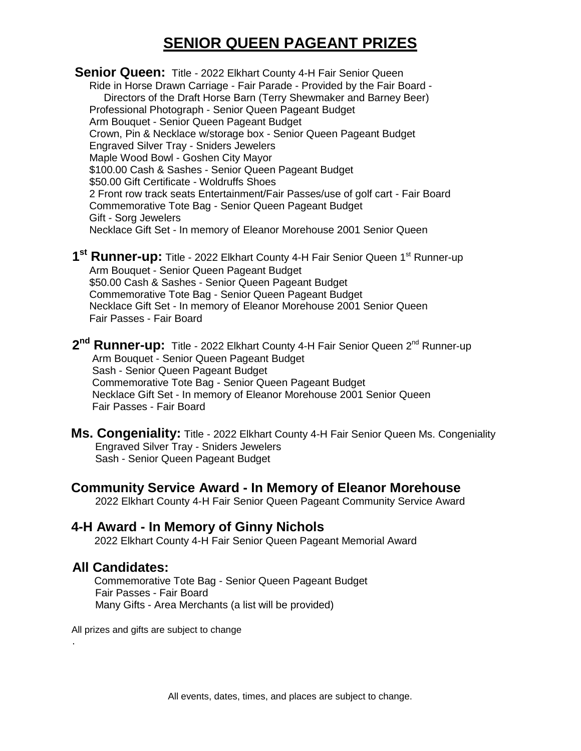### **SENIOR QUEEN PAGEANT PRIZES**

**Senior Queen:** Title - 2022 Elkhart County 4-H Fair Senior Queen Ride in Horse Drawn Carriage - Fair Parade - Provided by the Fair Board - Directors of the Draft Horse Barn (Terry Shewmaker and Barney Beer) Professional Photograph - Senior Queen Pageant Budget Arm Bouquet - Senior Queen Pageant Budget Crown, Pin & Necklace w/storage box - Senior Queen Pageant Budget Engraved Silver Tray - Sniders Jewelers Maple Wood Bowl - Goshen City Mayor \$100.00 Cash & Sashes - Senior Queen Pageant Budget \$50.00 Gift Certificate - Woldruffs Shoes 2 Front row track seats Entertainment/Fair Passes/use of golf cart - Fair Board Commemorative Tote Bag - Senior Queen Pageant Budget Gift - Sorg Jewelers Necklace Gift Set - In memory of Eleanor Morehouse 2001 Senior Queen

- **1<sup>st</sup> Runner-up:** Title 2022 Elkhart County 4-H Fair Senior Queen 1<sup>st</sup> Runner-up Arm Bouquet - Senior Queen Pageant Budget \$50.00 Cash & Sashes - Senior Queen Pageant Budget Commemorative Tote Bag - Senior Queen Pageant Budget Necklace Gift Set - In memory of Eleanor Morehouse 2001 Senior Queen Fair Passes - Fair Board
- $2<sup>nd</sup>$  **Runner-up:** Title 2022 Elkhart County 4-H Fair Senior Queen 2<sup>nd</sup> Runner-up Arm Bouquet - Senior Queen Pageant Budget Sash - Senior Queen Pageant Budget Commemorative Tote Bag - Senior Queen Pageant Budget Necklace Gift Set - In memory of Eleanor Morehouse 2001 Senior Queen Fair Passes - Fair Board
	- **Ms. Congeniality:** Title 2022 Elkhart County 4-H Fair Senior Queen Ms. Congeniality Engraved Silver Tray - Sniders Jewelers Sash - Senior Queen Pageant Budget
	- **Community Service Award - In Memory of Eleanor Morehouse** 2022 Elkhart County 4-H Fair Senior Queen Pageant Community Service Award

#### **4-H Award - In Memory of Ginny Nichols** 2022 Elkhart County 4-H Fair Senior Queen Pageant Memorial Award

### **All Candidates:**

 Commemorative Tote Bag - Senior Queen Pageant Budget Fair Passes - Fair Board Many Gifts - Area Merchants (a list will be provided)

All prizes and gifts are subject to change .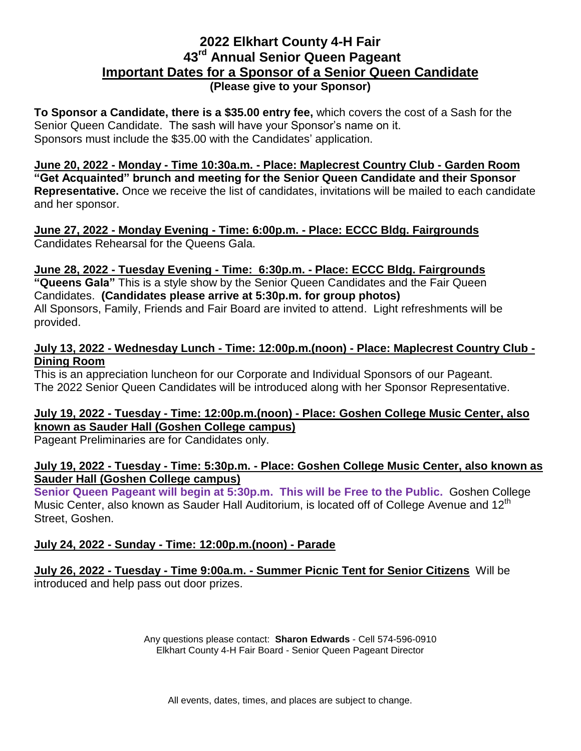### **2022 Elkhart County 4-H Fair 43 rd Annual Senior Queen Pageant Important Dates for a Sponsor of a Senior Queen Candidate (Please give to your Sponsor)**

**To Sponsor a Candidate, there is a \$35.00 entry fee,** which covers the cost of a Sash for the Senior Queen Candidate. The sash will have your Sponsor's name on it. Sponsors must include the \$35.00 with the Candidates' application.

**June 20, 2022 - Monday - Time 10:30a.m. - Place: Maplecrest Country Club - Garden Room "Get Acquainted" brunch and meeting for the Senior Queen Candidate and their Sponsor Representative.** Once we receive the list of candidates, invitations will be mailed to each candidate and her sponsor.

**June 27, 2022 - Monday Evening - Time: 6:00p.m. - Place: ECCC Bldg. Fairgrounds** Candidates Rehearsal for the Queens Gala.

### **June 28, 2022 - Tuesday Evening - Time: 6:30p.m. - Place: ECCC Bldg. Fairgrounds**

**"Queens Gala"** This is a style show by the Senior Queen Candidates and the Fair Queen Candidates. **(Candidates please arrive at 5:30p.m. for group photos)** All Sponsors, Family, Friends and Fair Board are invited to attend. Light refreshments will be provided.

### **July 13, 2022 - Wednesday Lunch - Time: 12:00p.m.(noon) - Place: Maplecrest Country Club - Dining Room**

This is an appreciation luncheon for our Corporate and Individual Sponsors of our Pageant. The 2022 Senior Queen Candidates will be introduced along with her Sponsor Representative.

### **July 19, 2022 - Tuesday - Time: 12:00p.m.(noon) - Place: Goshen College Music Center, also known as Sauder Hall (Goshen College campus)**

Pageant Preliminaries are for Candidates only.

### **July 19, 2022 - Tuesday - Time: 5:30p.m. - Place: Goshen College Music Center, also known as Sauder Hall (Goshen College campus)**

**Senior Queen Pageant will begin at 5:30p.m. This will be Free to the Public.** Goshen College Music Center, also known as Sauder Hall Auditorium, is located off of College Avenue and  $12^{\text{m}}$ Street, Goshen.

### **July 24, 2022 - Sunday - Time: 12:00p.m.(noon) - Parade**

**July 26, 2022 - Tuesday - Time 9:00a.m. - Summer Picnic Tent for Senior Citizens** Will be introduced and help pass out door prizes.

> Any questions please contact: **Sharon Edwards** - Cell 574-596-0910 Elkhart County 4-H Fair Board - Senior Queen Pageant Director